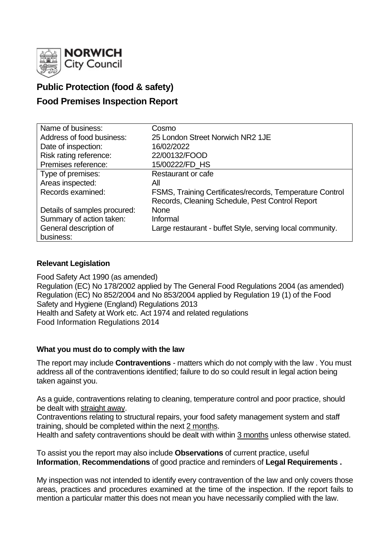

# **Public Protection (food & safety)**

# **Food Premises Inspection Report**

| Name of business:            | Cosmo                                                     |
|------------------------------|-----------------------------------------------------------|
| Address of food business:    | 25 London Street Norwich NR2 1JE                          |
| Date of inspection:          | 16/02/2022                                                |
| Risk rating reference:       | 22/00132/FOOD                                             |
| Premises reference:          | 15/00222/FD_HS                                            |
| Type of premises:            | Restaurant or cafe                                        |
| Areas inspected:             | All                                                       |
| Records examined:            | FSMS, Training Certificates/records, Temperature Control  |
|                              | Records, Cleaning Schedule, Pest Control Report           |
| Details of samples procured: | <b>None</b>                                               |
| Summary of action taken:     | Informal                                                  |
| General description of       | Large restaurant - buffet Style, serving local community. |
| business:                    |                                                           |

# **Relevant Legislation**

Food Safety Act 1990 (as amended) Regulation (EC) No 178/2002 applied by The General Food Regulations 2004 (as amended) Regulation (EC) No 852/2004 and No 853/2004 applied by Regulation 19 (1) of the Food Safety and Hygiene (England) Regulations 2013 Health and Safety at Work etc. Act 1974 and related regulations Food Information Regulations 2014

# **What you must do to comply with the law**

The report may include **Contraventions** - matters which do not comply with the law . You must address all of the contraventions identified; failure to do so could result in legal action being taken against you.

As a guide, contraventions relating to cleaning, temperature control and poor practice, should be dealt with straight away.

Contraventions relating to structural repairs, your food safety management system and staff training, should be completed within the next 2 months.

Health and safety contraventions should be dealt with within 3 months unless otherwise stated.

To assist you the report may also include **Observations** of current practice, useful **Information**, **Recommendations** of good practice and reminders of **Legal Requirements .**

My inspection was not intended to identify every contravention of the law and only covers those areas, practices and procedures examined at the time of the inspection. If the report fails to mention a particular matter this does not mean you have necessarily complied with the law.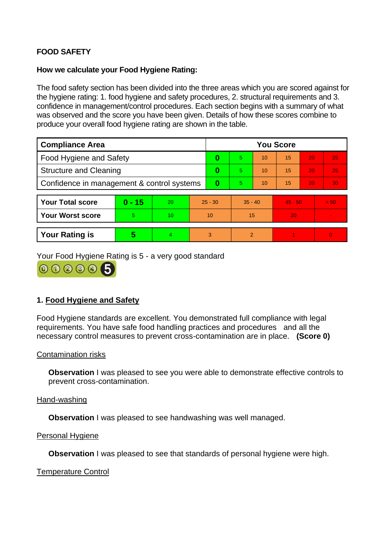# **FOOD SAFETY**

# **How we calculate your Food Hygiene Rating:**

The food safety section has been divided into the three areas which you are scored against for the hygiene rating: 1. food hygiene and safety procedures, 2. structural requirements and 3. confidence in management/control procedures. Each section begins with a summary of what was observed and the score you have been given. Details of how these scores combine to produce your overall food hygiene rating are shown in the table.

| <b>Compliance Area</b>                     |          |    |           | <b>You Score</b> |               |    |           |    |                          |  |  |
|--------------------------------------------|----------|----|-----------|------------------|---------------|----|-----------|----|--------------------------|--|--|
| <b>Food Hygiene and Safety</b>             |          |    |           | 0                | 5             | 10 | 15        | 20 | 25                       |  |  |
| <b>Structure and Cleaning</b>              |          |    |           | 0                | 5.            | 10 | 15        | 20 | 25                       |  |  |
| Confidence in management & control systems |          |    | $\bf{0}$  | 5.               | 10            | 15 | 20        | 30 |                          |  |  |
|                                            |          |    |           |                  |               |    |           |    |                          |  |  |
| <b>Your Total score</b>                    | $0 - 15$ | 20 | $25 - 30$ |                  | $35 - 40$     |    | $45 - 50$ |    | > 50                     |  |  |
| <b>Your Worst score</b>                    | 5        | 10 | 10        |                  | 15            |    | 20        |    | $\overline{\phantom{a}}$ |  |  |
|                                            |          |    |           |                  |               |    |           |    |                          |  |  |
| <b>Your Rating is</b>                      | 5        | 4  |           | 3                | $\mathcal{P}$ |    |           |    | $\overline{0}$           |  |  |

Your Food Hygiene Rating is 5 - a very good standard

000005

# **1. Food Hygiene and Safety**

Food Hygiene standards are excellent. You demonstrated full compliance with legal requirements. You have safe food handling practices and procedures and all the necessary control measures to prevent cross-contamination are in place. **(Score 0)**

# Contamination risks

**Observation** I was pleased to see you were able to demonstrate effective controls to prevent cross-contamination.

#### Hand-washing

**Observation I** was pleased to see handwashing was well managed.

#### Personal Hygiene

**Observation** I was pleased to see that standards of personal hygiene were high.

Temperature Control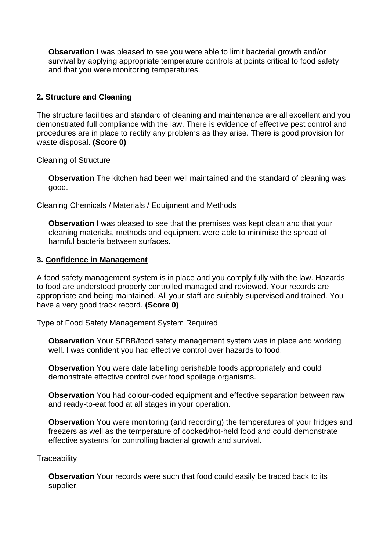**Observation** I was pleased to see you were able to limit bacterial growth and/or survival by applying appropriate temperature controls at points critical to food safety and that you were monitoring temperatures.

# **2. Structure and Cleaning**

The structure facilities and standard of cleaning and maintenance are all excellent and you demonstrated full compliance with the law. There is evidence of effective pest control and procedures are in place to rectify any problems as they arise. There is good provision for waste disposal. **(Score 0)**

#### Cleaning of Structure

**Observation** The kitchen had been well maintained and the standard of cleaning was good.

# Cleaning Chemicals / Materials / Equipment and Methods

**Observation I** was pleased to see that the premises was kept clean and that your cleaning materials, methods and equipment were able to minimise the spread of harmful bacteria between surfaces.

#### **3. Confidence in Management**

A food safety management system is in place and you comply fully with the law. Hazards to food are understood properly controlled managed and reviewed. Your records are appropriate and being maintained. All your staff are suitably supervised and trained. You have a very good track record. **(Score 0)**

#### Type of Food Safety Management System Required

**Observation** Your SFBB/food safety management system was in place and working well. I was confident you had effective control over hazards to food.

**Observation** You were date labelling perishable foods appropriately and could demonstrate effective control over food spoilage organisms.

**Observation** You had colour-coded equipment and effective separation between raw and ready-to-eat food at all stages in your operation.

**Observation** You were monitoring (and recording) the temperatures of your fridges and freezers as well as the temperature of cooked/hot-held food and could demonstrate effective systems for controlling bacterial growth and survival.

#### **Traceability**

**Observation** Your records were such that food could easily be traced back to its supplier.